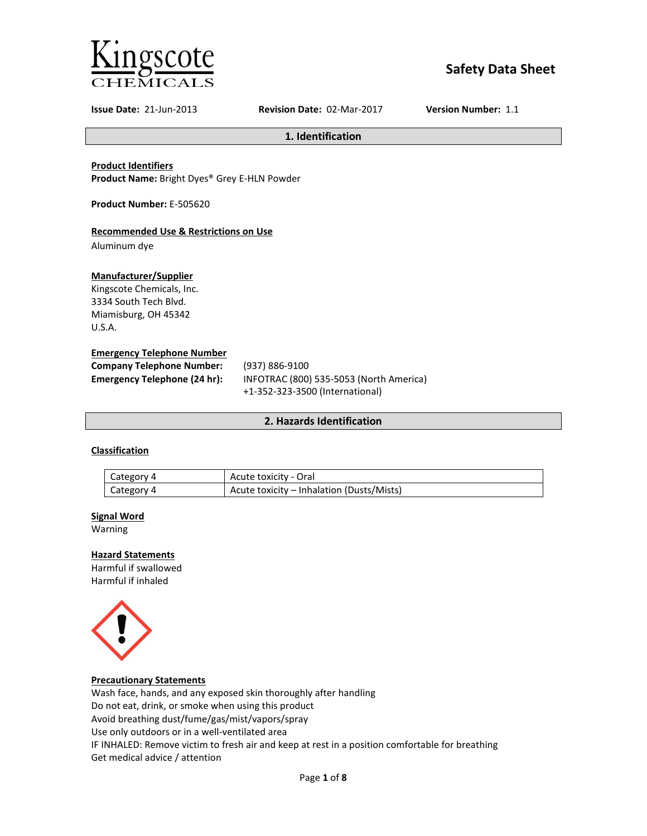

# **Safety Data Sheet**

**Issue Date:** 21-Jun-2013 **Revision Date:** 02-Mar-2017 **Version Number:** 1.1

**1. Identification**

**Product Identifiers**

**Product Name:** Bright Dyes® Grey E-HLN Powder

**Product Number:** E-505620

# **Recommended Use & Restrictions on Use**

Aluminum dye

# **Manufacturer/Supplier**

Kingscote Chemicals, Inc. 3334 South Tech Blvd. Miamisburg, OH 45342 U.S.A.

# **Emergency Telephone Number**

| <b>Company Telephone Number:</b> | (937) 886-9100                          |
|----------------------------------|-----------------------------------------|
| Emergency Telephone (24 hr):     | INFOTRAC (800) 535-5053 (North America) |
|                                  | +1-352-323-3500 (International)         |

# **2. Hazards Identification**

# **Classification**

| Category 4 | Acute toxicity - Oral                     |
|------------|-------------------------------------------|
| Category 4 | Acute toxicity – Inhalation (Dusts/Mists) |

### **Signal Word**

Warning

# **Hazard Statements**

Harmful if swallowed Harmful if inhaled



### **Precautionary Statements**

Wash face, hands, and any exposed skin thoroughly after handling Do not eat, drink, or smoke when using this product Avoid breathing dust/fume/gas/mist/vapors/spray Use only outdoors or in a well-ventilated area IF INHALED: Remove victim to fresh air and keep at rest in a position comfortable for breathing Get medical advice / attention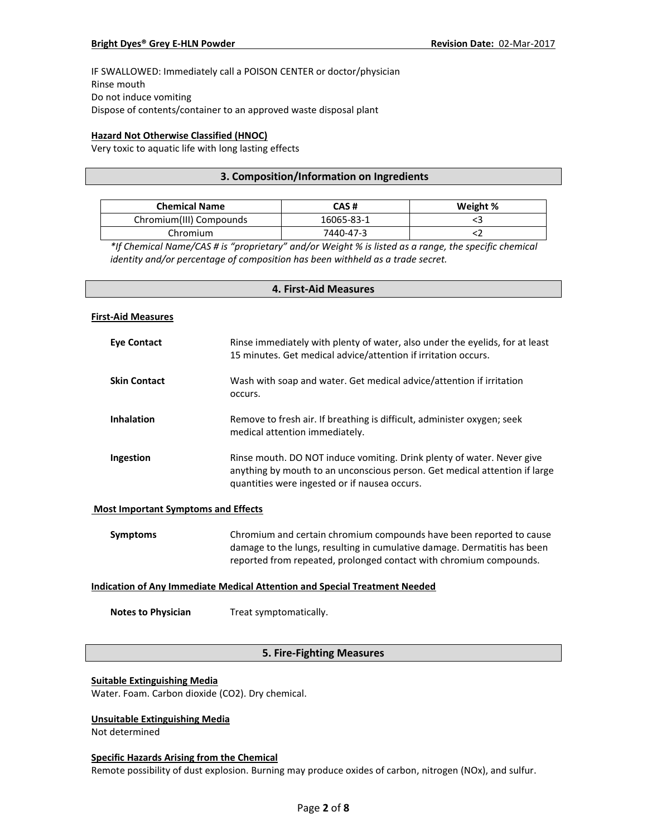IF SWALLOWED: Immediately call a POISON CENTER or doctor/physician Rinse mouth Do not induce vomiting Dispose of contents/container to an approved waste disposal plant

# **Hazard Not Otherwise Classified (HNOC)**

Very toxic to aquatic life with long lasting effects

# **3. Composition/Information on Ingredients**

| <b>Chemical Name</b>    | CAS #      | Weight % |
|-------------------------|------------|----------|
| Chromium(III) Compounds | 16065-83-1 |          |
| Chromium                | 7440-47-3  |          |

*\*If Chemical Name/CAS # is "proprietary" and/or Weight % is listed as a range, the specific chemical identity and/or percentage of composition has been withheld as a trade secret.*

# **4. First-Aid Measures**

#### **First-Aid Measures**

| <b>Eye Contact</b>  | Rinse immediately with plenty of water, also under the eyelids, for at least<br>15 minutes. Get medical advice/attention if irritation occurs.                                                        |
|---------------------|-------------------------------------------------------------------------------------------------------------------------------------------------------------------------------------------------------|
| <b>Skin Contact</b> | Wash with soap and water. Get medical advice/attention if irritation<br>occurs.                                                                                                                       |
| <b>Inhalation</b>   | Remove to fresh air. If breathing is difficult, administer oxygen; seek<br>medical attention immediately.                                                                                             |
| Ingestion           | Rinse mouth. DO NOT induce vomiting. Drink plenty of water. Never give<br>anything by mouth to an unconscious person. Get medical attention if large<br>quantities were ingested or if nausea occurs. |

### **Most Important Symptoms and Effects**

| Symptoms | Chromium and certain chromium compounds have been reported to cause      |
|----------|--------------------------------------------------------------------------|
|          | damage to the lungs, resulting in cumulative damage. Dermatitis has been |
|          | reported from repeated, prolonged contact with chromium compounds.       |

# **Indication of Any Immediate Medical Attention and Special Treatment Needed**

**Notes to Physician** Treat symptomatically.

# **5. Fire-Fighting Measures**

#### **Suitable Extinguishing Media**

Water. Foam. Carbon dioxide (CO2). Dry chemical.

# **Unsuitable Extinguishing Media**

Not determined

#### **Specific Hazards Arising from the Chemical**

Remote possibility of dust explosion. Burning may produce oxides of carbon, nitrogen (NOx), and sulfur.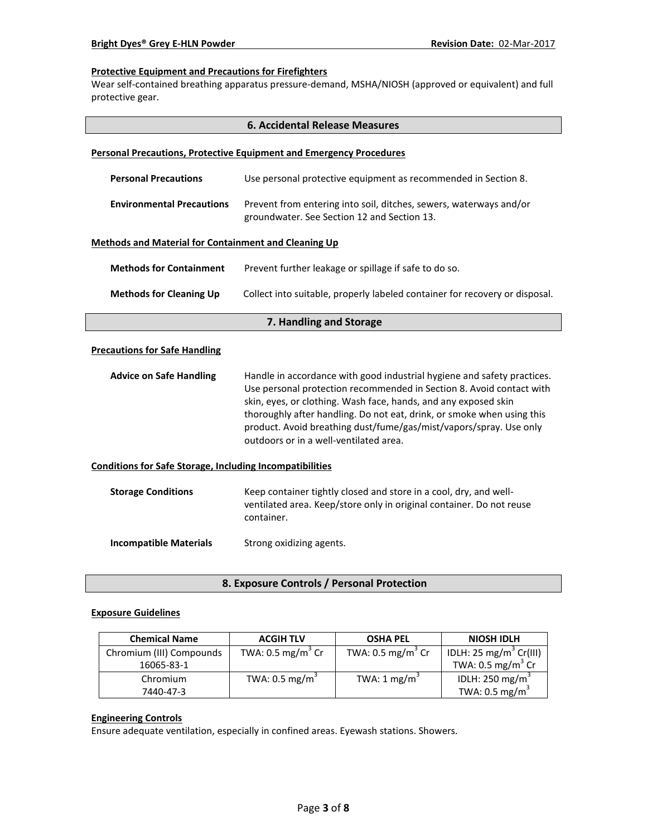# **Protective Equipment and Precautions for Firefighters**

Wear self-contained breathing apparatus pressure-demand, MSHA/NIOSH (approved or equivalent) and full protective gear.

|                                                                            | <b>6. Accidental Release Measures</b>                                                                                                                                                                                                                                                                                                                                                                        |  |  |  |
|----------------------------------------------------------------------------|--------------------------------------------------------------------------------------------------------------------------------------------------------------------------------------------------------------------------------------------------------------------------------------------------------------------------------------------------------------------------------------------------------------|--|--|--|
| <b>Personal Precautions, Protective Equipment and Emergency Procedures</b> |                                                                                                                                                                                                                                                                                                                                                                                                              |  |  |  |
| <b>Personal Precautions</b>                                                | Use personal protective equipment as recommended in Section 8.                                                                                                                                                                                                                                                                                                                                               |  |  |  |
| <b>Environmental Precautions</b>                                           | Prevent from entering into soil, ditches, sewers, waterways and/or<br>groundwater. See Section 12 and Section 13.                                                                                                                                                                                                                                                                                            |  |  |  |
| <b>Methods and Material for Containment and Cleaning Up</b>                |                                                                                                                                                                                                                                                                                                                                                                                                              |  |  |  |
| <b>Methods for Containment</b>                                             | Prevent further leakage or spillage if safe to do so.                                                                                                                                                                                                                                                                                                                                                        |  |  |  |
| <b>Methods for Cleaning Up</b>                                             | Collect into suitable, properly labeled container for recovery or disposal.                                                                                                                                                                                                                                                                                                                                  |  |  |  |
| 7. Handling and Storage                                                    |                                                                                                                                                                                                                                                                                                                                                                                                              |  |  |  |
| <b>Precautions for Safe Handling</b>                                       |                                                                                                                                                                                                                                                                                                                                                                                                              |  |  |  |
| <b>Advice on Safe Handling</b>                                             | Handle in accordance with good industrial hygiene and safety practices.<br>Use personal protection recommended in Section 8. Avoid contact with<br>skin, eyes, or clothing. Wash face, hands, and any exposed skin<br>thoroughly after handling. Do not eat, drink, or smoke when using this<br>product. Avoid breathing dust/fume/gas/mist/vapors/spray. Use only<br>outdoors or in a well-ventilated area. |  |  |  |
| <b>Conditions for Safe Storage, Including Incompatibilities</b>            |                                                                                                                                                                                                                                                                                                                                                                                                              |  |  |  |
| <b>Storage Conditions</b>                                                  | Keep container tightly closed and store in a cool, dry, and well-<br>ventilated area. Keep/store only in original container. Do not reuse<br>container.                                                                                                                                                                                                                                                      |  |  |  |
| <b>Incompatible Materials</b>                                              | Strong oxidizing agents.                                                                                                                                                                                                                                                                                                                                                                                     |  |  |  |

**8. Exposure Controls / Personal Protection**

### **Exposure Guidelines**

| <b>Chemical Name</b>     | <b>ACGIH TLV</b>             | <b>OSHA PEL</b>              | <b>NIOSH IDLH</b>                  |
|--------------------------|------------------------------|------------------------------|------------------------------------|
| Chromium (III) Compounds | TWA: $0.5 \text{ mg/m}^3$ Cr | TWA: $0.5 \text{ mg/m}^3$ Cr | IDLH: 25 mg/m <sup>3</sup> Cr(III) |
| 16065-83-1               |                              |                              | TWA: $0.5 \text{ mg/m}^3$ Cr       |
| Chromium                 | TWA: $0.5 \text{ mg/m}^3$    | TWA: 1 mg/m <sup>3</sup>     | IDLH: 250 mg/m <sup>3</sup>        |
| 7440-47-3                |                              |                              | TWA: $0.5 \text{ mg/m}^3$          |

# **Engineering Controls**

Ensure adequate ventilation, especially in confined areas. Eyewash stations. Showers.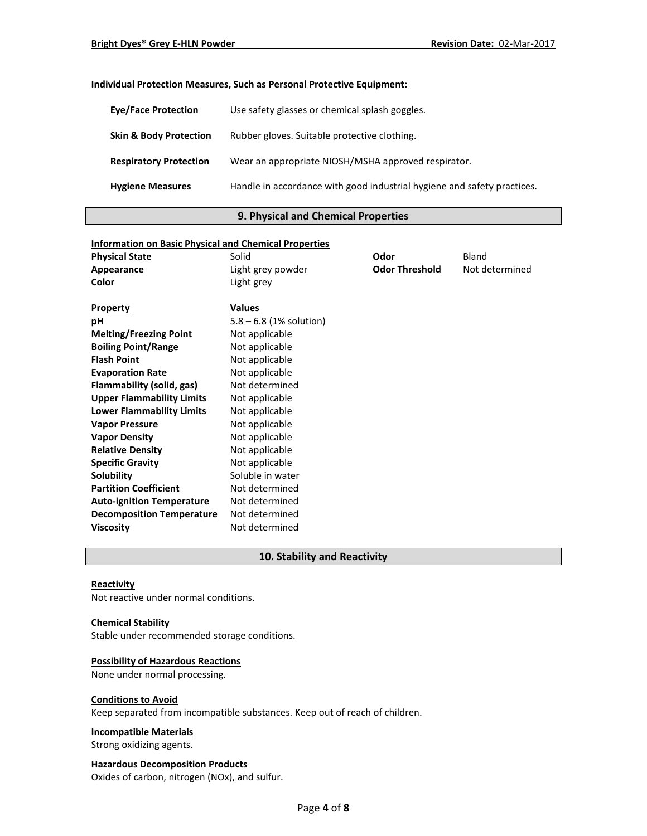# **Individual Protection Measures, Such as Personal Protective Equipment:**

| <b>Eye/Face Protection</b>        | Use safety glasses or chemical splash goggles.                          |
|-----------------------------------|-------------------------------------------------------------------------|
| <b>Skin &amp; Body Protection</b> | Rubber gloves. Suitable protective clothing.                            |
| <b>Respiratory Protection</b>     | Wear an appropriate NIOSH/MSHA approved respirator.                     |
| <b>Hygiene Measures</b>           | Handle in accordance with good industrial hygiene and safety practices. |

# **9. Physical and Chemical Properties**

| <b>Physical State</b><br>Solid<br>Bland<br>Odor                            |  |
|----------------------------------------------------------------------------|--|
|                                                                            |  |
| <b>Odor Threshold</b><br>Not determined<br>Light grey powder<br>Appearance |  |
| Color<br>Light grey                                                        |  |
|                                                                            |  |
| <b>Values</b><br><b>Property</b>                                           |  |
| $5.8 - 6.8$ (1% solution)<br>рH                                            |  |
| <b>Melting/Freezing Point</b><br>Not applicable                            |  |
| <b>Boiling Point/Range</b><br>Not applicable                               |  |
| <b>Flash Point</b><br>Not applicable                                       |  |
| Not applicable<br><b>Evaporation Rate</b>                                  |  |
| Flammability (solid, gas)<br>Not determined                                |  |
| <b>Upper Flammability Limits</b><br>Not applicable                         |  |
| <b>Lower Flammability Limits</b><br>Not applicable                         |  |
| Not applicable<br><b>Vapor Pressure</b>                                    |  |
| Not applicable<br><b>Vapor Density</b>                                     |  |
| <b>Relative Density</b><br>Not applicable                                  |  |
| <b>Specific Gravity</b><br>Not applicable                                  |  |
| Soluble in water<br>Solubility                                             |  |
| <b>Partition Coefficient</b><br>Not determined                             |  |
| <b>Auto-ignition Temperature</b><br>Not determined                         |  |
| <b>Decomposition Temperature</b><br>Not determined                         |  |
| Not determined<br><b>Viscosity</b>                                         |  |

# **10. Stability and Reactivity**

### **Reactivity**

Not reactive under normal conditions.

#### **Chemical Stability**

Stable under recommended storage conditions.

# **Possibility of Hazardous Reactions**

None under normal processing.

#### **Conditions to Avoid**

Keep separated from incompatible substances. Keep out of reach of children.

### **Incompatible Materials**

Strong oxidizing agents.

# **Hazardous Decomposition Products**

Oxides of carbon, nitrogen (NOx), and sulfur.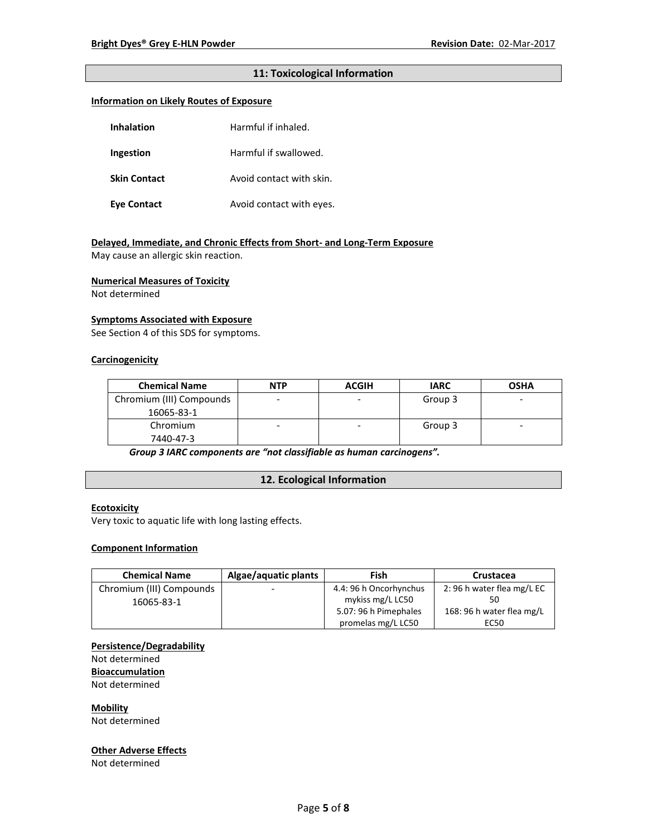# **11: Toxicological Information**

# **Information on Likely Routes of Exposure**

| <b>Inhalation</b>   | Harmful if inhaled.      |  |
|---------------------|--------------------------|--|
| Ingestion           | Harmful if swallowed.    |  |
| <b>Skin Contact</b> | Avoid contact with skin. |  |
| Eye Contact         | Avoid contact with eyes. |  |

# **Delayed, Immediate, and Chronic Effects from Short- and Long-Term Exposure**

May cause an allergic skin reaction.

#### **Numerical Measures of Toxicity**

Not determined

### **Symptoms Associated with Exposure**

See Section 4 of this SDS for symptoms.

# **Carcinogenicity**

| <b>Chemical Name</b>     | <b>NTP</b> | <b>ACGIH</b> | <b>IARC</b> | <b>OSHA</b> |
|--------------------------|------------|--------------|-------------|-------------|
| Chromium (III) Compounds |            |              | Group 3     | -           |
| 16065-83-1               |            |              |             |             |
| Chromium                 |            | ۰            | Group 3     | -           |
| 7440-47-3                |            |              |             |             |

*Group 3 IARC components are "not classifiable as human carcinogens".*

# **12. Ecological Information**

# **Ecotoxicity**

Very toxic to aquatic life with long lasting effects.

### **Component Information**

| <b>Chemical Name</b>     | Algae/aquatic plants     | Fish                   | Crustacea                 |
|--------------------------|--------------------------|------------------------|---------------------------|
| Chromium (III) Compounds | $\overline{\phantom{0}}$ | 4.4: 96 h Oncorhynchus | 2:96 h water flea mg/L EC |
| 16065-83-1               |                          | mykiss mg/L LC50       |                           |
|                          |                          | 5.07: 96 h Pimephales  | 168: 96 h water flea mg/L |
|                          |                          | promelas mg/L LC50     | EC50                      |

#### **Persistence/Degradability**

Not determined

**Bioaccumulation** Not determined

**Mobility**

Not determined

# **Other Adverse Effects**

Not determined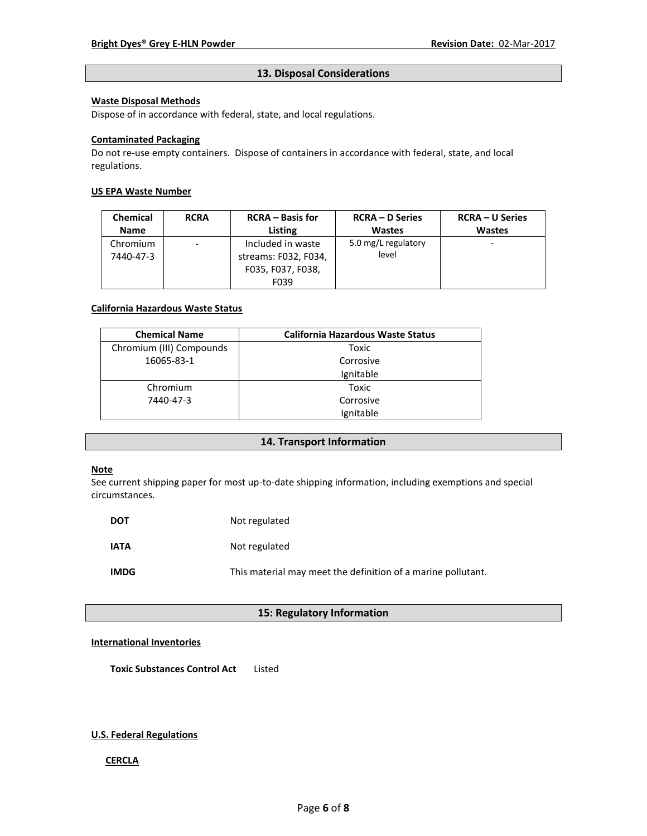### **13. Disposal Considerations**

# **Waste Disposal Methods**

Dispose of in accordance with federal, state, and local regulations.

### **Contaminated Packaging**

Do not re-use empty containers.Dispose of containers in accordance with federal, state, and local regulations.

# **US EPA Waste Number**

| <b>Chemical</b> | <b>RCRA</b>              | <b>RCRA</b> – Basis for | <b>RCRA – D Series</b> | <b>RCRA – U Series</b> |
|-----------------|--------------------------|-------------------------|------------------------|------------------------|
| <b>Name</b>     |                          | Listing                 | <b>Wastes</b>          | <b>Wastes</b>          |
| Chromium        | $\overline{\phantom{0}}$ | Included in waste       | 5.0 mg/L regulatory    | ۰                      |
| 7440-47-3       |                          | streams: F032, F034,    | level                  |                        |
|                 |                          | F035, F037, F038,       |                        |                        |
|                 |                          | F039                    |                        |                        |

#### **California Hazardous Waste Status**

| <b>Chemical Name</b>     | <b>California Hazardous Waste Status</b> |
|--------------------------|------------------------------------------|
| Chromium (III) Compounds | Toxic                                    |
| 16065-83-1               | Corrosive                                |
|                          | Ignitable                                |
| Chromium                 | Toxic                                    |
| 7440-47-3                | Corrosive                                |
|                          | Ignitable                                |

# **14. Transport Information**

# **Note**

See current shipping paper for most up-to-date shipping information, including exemptions and special circumstances.

| <b>DOT</b>  | Not regulated                                                |
|-------------|--------------------------------------------------------------|
| <b>IATA</b> | Not regulated                                                |
| <b>IMDG</b> | This material may meet the definition of a marine pollutant. |

# **15: Regulatory Information**

# **International Inventories**

**Toxic Substances Control Act** Listed

### **U.S. Federal Regulations**

### **CERCLA**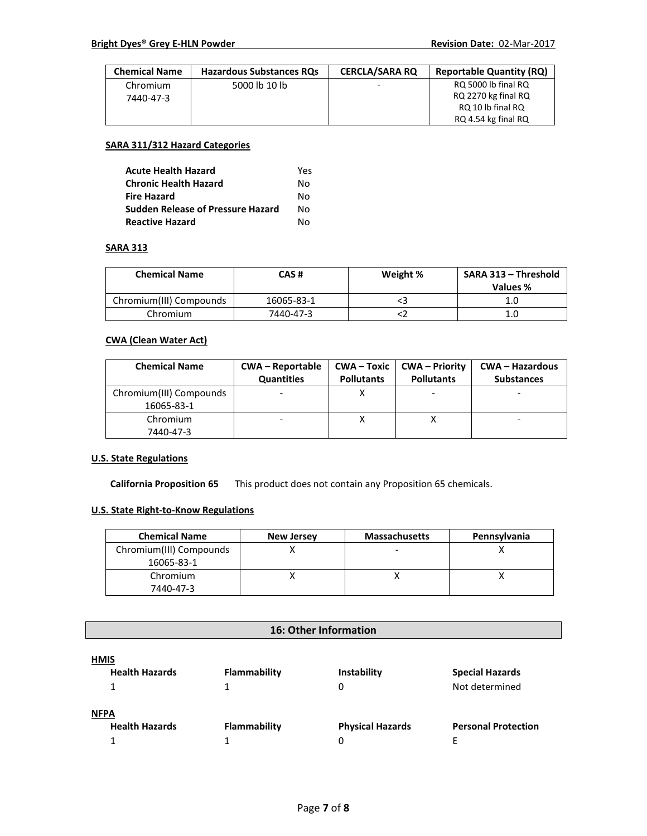| <b>Chemical Name</b> | <b>Hazardous Substances RQs</b> | <b>CERCLA/SARA RO</b> | <b>Reportable Quantity (RQ)</b> |
|----------------------|---------------------------------|-----------------------|---------------------------------|
| Chromium             | 5000 lb 10 lb                   | -                     | RQ 5000 lb final RQ             |
| 7440-47-3            |                                 |                       | RQ 2270 kg final RQ             |
|                      |                                 |                       | RQ 10 lb final RQ               |
|                      |                                 |                       | RQ 4.54 kg final RQ             |

# **SARA 311/312 Hazard Categories**

| <b>Acute Health Hazard</b>               | Yes |
|------------------------------------------|-----|
| <b>Chronic Health Hazard</b>             | N٥  |
| <b>Fire Hazard</b>                       | Nο  |
| <b>Sudden Release of Pressure Hazard</b> | Nο  |
| <b>Reactive Hazard</b>                   | N٥  |

#### **SARA 313**

| <b>Chemical Name</b>    | CAS #      | Weight % | SARA 313 - Threshold<br>Values % |
|-------------------------|------------|----------|----------------------------------|
| Chromium(III) Compounds | 16065-83-1 |          | 1.0                              |
| Chromium                | 7440-47-3  |          | 1.0                              |

# **CWA (Clean Water Act)**

| <b>Chemical Name</b>    | <b>CWA-Reportable</b><br>Quantities | CWA – Toxic<br><b>Pollutants</b> | <b>CWA – Priority</b><br><b>Pollutants</b> | CWA – Hazardous<br><b>Substances</b> |
|-------------------------|-------------------------------------|----------------------------------|--------------------------------------------|--------------------------------------|
| Chromium(III) Compounds |                                     |                                  |                                            |                                      |
| 16065-83-1              |                                     |                                  |                                            |                                      |
| Chromium                |                                     |                                  |                                            |                                      |
| 7440-47-3               |                                     |                                  |                                            |                                      |

# **U.S. State Regulations**

**California Proposition 65** This product does not contain any Proposition 65 chemicals.

# **U.S. State Right-to-Know Regulations**

| <b>Chemical Name</b>    | <b>New Jersey</b> | <b>Massachusetts</b> | Pennsylvania |
|-------------------------|-------------------|----------------------|--------------|
| Chromium(III) Compounds |                   |                      |              |
| 16065-83-1              |                   |                      |              |
| Chromium                |                   |                      |              |
| 7440-47-3               |                   |                      |              |

# **16: Other Information**

| <b>HMIS</b>           |              |                         |                            |
|-----------------------|--------------|-------------------------|----------------------------|
| <b>Health Hazards</b> | Flammability | Instability             | <b>Special Hazards</b>     |
|                       |              | 0                       | Not determined             |
| <b>NFPA</b>           |              |                         |                            |
| <b>Health Hazards</b> | Flammability | <b>Physical Hazards</b> | <b>Personal Protection</b> |
|                       |              |                         |                            |